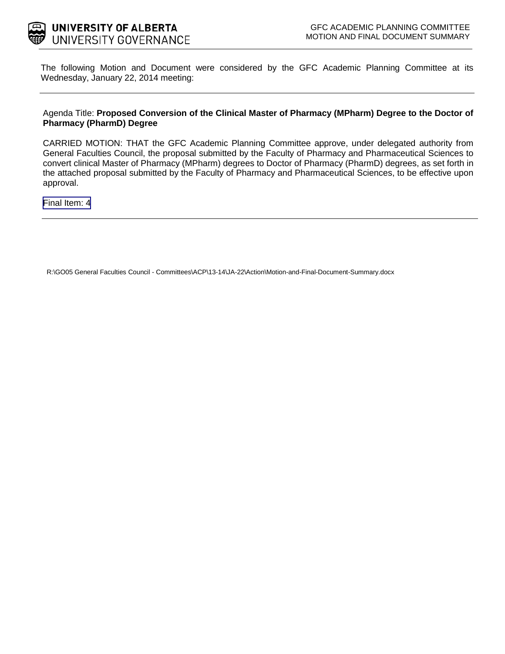

The following Motion and Document were considered by the GFC Academic Planning Committee at its Wednesday, January 22, 2014 meeting:

#### Agenda Title: **Proposed Conversion of the Clinical Master of Pharmacy (MPharm) Degree to the Doctor of Pharmacy (PharmD) Degree**

CARRIED MOTION: THAT the GFC Academic Planning Committee approve, under delegated authority from General Faculties Council, the proposal submitted by the Faculty of Pharmacy and Pharmaceutical Sciences to convert clinical Master of Pharmacy (MPharm) degrees to Doctor of Pharmacy (PharmD) degrees, as set forth in the attached proposal submitted by the Faculty of Pharmacy and Pharmaceutical Sciences, to be effective upon approval.

[Final Item: 4](#page-1-0)

R:\GO05 General Faculties Council - Committees\ACP\13-14\JA-22\Action\Motion-and-Final-Document-Summary.docx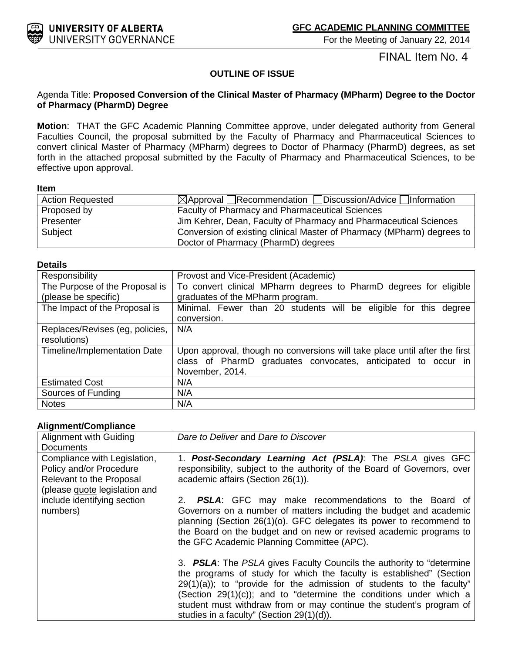<span id="page-1-0"></span>

For the Meeting of January 22, 2014

FINAL Item No. 4

## **OUTLINE OF ISSUE**

### Agenda Title: **Proposed Conversion of the Clinical Master of Pharmacy (MPharm) Degree to the Doctor of Pharmacy (PharmD) Degree**

**Motion**: THAT the GFC Academic Planning Committee approve, under delegated authority from General Faculties Council, the proposal submitted by the Faculty of Pharmacy and Pharmaceutical Sciences to convert clinical Master of Pharmacy (MPharm) degrees to Doctor of Pharmacy (PharmD) degrees, as set forth in the attached proposal submitted by the Faculty of Pharmacy and Pharmaceutical Sciences, to be effective upon approval.

#### **Item**

| <b>Action Requested</b> | $\boxtimes$ Approval Recommendation Discussion/Advice Information      |  |
|-------------------------|------------------------------------------------------------------------|--|
| Proposed by             | Faculty of Pharmacy and Pharmaceutical Sciences                        |  |
| Presenter               | Jim Kehrer, Dean, Faculty of Pharmacy and Pharmaceutical Sciences      |  |
| Subject                 | Conversion of existing clinical Master of Pharmacy (MPharm) degrees to |  |
|                         | Doctor of Pharmacy (PharmD) degrees                                    |  |

#### **Details**

| Responsibility                  | Provost and Vice-President (Academic)                                      |  |  |  |
|---------------------------------|----------------------------------------------------------------------------|--|--|--|
| The Purpose of the Proposal is  | To convert clinical MPharm degrees to PharmD degrees for eligible          |  |  |  |
| (please be specific)            | graduates of the MPharm program.                                           |  |  |  |
| The Impact of the Proposal is   | Minimal. Fewer than 20 students will be eligible for this degree           |  |  |  |
|                                 | conversion.                                                                |  |  |  |
| Replaces/Revises (eg, policies, | N/A                                                                        |  |  |  |
| resolutions)                    |                                                                            |  |  |  |
| Timeline/Implementation Date    | Upon approval, though no conversions will take place until after the first |  |  |  |
|                                 | class of PharmD graduates convocates, anticipated to occur in              |  |  |  |
|                                 | November, 2014.                                                            |  |  |  |
| <b>Estimated Cost</b>           | N/A                                                                        |  |  |  |
| Sources of Funding              | N/A                                                                        |  |  |  |
| <b>Notes</b>                    | N/A                                                                        |  |  |  |

#### **Alignment/Compliance**

| g <del></del>                                                                                                        |                                                                                                                                                                                                                                                                                                                                                                                                                                |
|----------------------------------------------------------------------------------------------------------------------|--------------------------------------------------------------------------------------------------------------------------------------------------------------------------------------------------------------------------------------------------------------------------------------------------------------------------------------------------------------------------------------------------------------------------------|
| Alignment with Guiding<br><b>Documents</b>                                                                           | Dare to Deliver and Dare to Discover                                                                                                                                                                                                                                                                                                                                                                                           |
| Compliance with Legislation,<br>Policy and/or Procedure<br>Relevant to the Proposal<br>(please guote legislation and | 1. Post-Secondary Learning Act (PSLA): The PSLA gives GFC<br>responsibility, subject to the authority of the Board of Governors, over<br>academic affairs (Section 26(1)).                                                                                                                                                                                                                                                     |
| include identifying section<br>numbers)                                                                              | 2. <b>PSLA:</b> GFC may make recommendations to the Board of<br>Governors on a number of matters including the budget and academic<br>planning (Section 26(1)(o). GFC delegates its power to recommend to<br>the Board on the budget and on new or revised academic programs to<br>the GFC Academic Planning Committee (APC).                                                                                                  |
|                                                                                                                      | 3. <b>PSLA:</b> The PSLA gives Faculty Councils the authority to "determine"<br>the programs of study for which the faculty is established" (Section<br>$29(1)(a)$ ; to "provide for the admission of students to the faculty"<br>(Section $29(1)(c)$ ); and to "determine the conditions under which a<br>student must withdraw from or may continue the student's program of<br>studies in a faculty" (Section $29(1)(d)$ ). |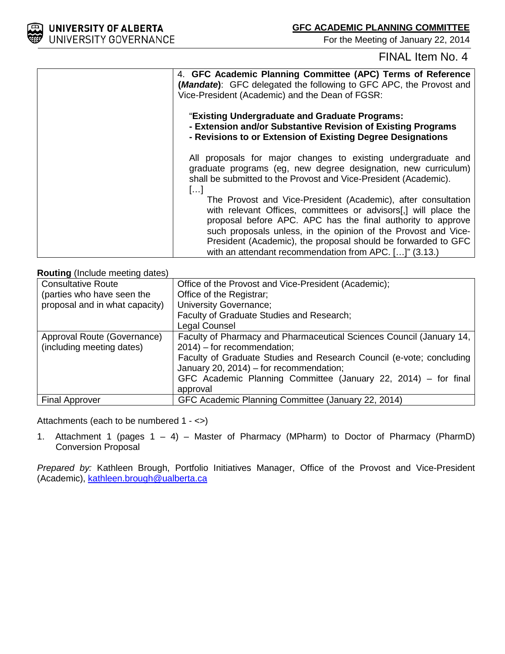

For the Meeting of January 22, 2014

# FINAL Item No. 4

| 4. GFC Academic Planning Committee (APC) Terms of Reference<br>(Mandate): GFC delegated the following to GFC APC, the Provost and<br>Vice-President (Academic) and the Dean of FGSR:                                                                              |
|-------------------------------------------------------------------------------------------------------------------------------------------------------------------------------------------------------------------------------------------------------------------|
| "Existing Undergraduate and Graduate Programs:<br>- Extension and/or Substantive Revision of Existing Programs<br>- Revisions to or Extension of Existing Degree Designations                                                                                     |
| All proposals for major changes to existing undergraduate and<br>graduate programs (eg, new degree designation, new curriculum)<br>shall be submitted to the Provost and Vice-President (Academic).<br>$\left  \ldots \right $                                    |
| The Provost and Vice-President (Academic), after consultation<br>with relevant Offices, committees or advisors[,] will place the<br>proposal before APC. APC has the final authority to approve<br>such proposals unless, in the opinion of the Provost and Vice- |
| President (Academic), the proposal should be forwarded to GFC<br>with an attendant recommendation from APC. []" (3.13.)                                                                                                                                           |

**Routing** (Include meeting dates)

| <b>Consultative Route</b>      | Office of the Provost and Vice-President (Academic);                 |  |  |  |
|--------------------------------|----------------------------------------------------------------------|--|--|--|
| (parties who have seen the     | Office of the Registrar;                                             |  |  |  |
| proposal and in what capacity) | <b>University Governance;</b>                                        |  |  |  |
|                                | Faculty of Graduate Studies and Research;                            |  |  |  |
|                                | Legal Counsel                                                        |  |  |  |
| Approval Route (Governance)    | Faculty of Pharmacy and Pharmaceutical Sciences Council (January 14, |  |  |  |
| (including meeting dates)      | $2014$ ) – for recommendation;                                       |  |  |  |
|                                | Faculty of Graduate Studies and Research Council (e-vote; concluding |  |  |  |
|                                | January 20, 2014) – for recommendation;                              |  |  |  |
|                                | GFC Academic Planning Committee (January 22, 2014) – for final       |  |  |  |
|                                | approval                                                             |  |  |  |
| <b>Final Approver</b>          | GFC Academic Planning Committee (January 22, 2014)                   |  |  |  |

Attachments (each to be numbered 1 - <>)

1. Attachment 1 (pages  $1 - 4$ ) – Master of Pharmacy (MPharm) to Doctor of Pharmacy (PharmD) Conversion Proposal

*Prepared by:* Kathleen Brough, Portfolio Initiatives Manager, Office of the Provost and Vice-President (Academic), [kathleen.brough@ualberta.ca](mailto:kathleen.brough@ualberta.ca)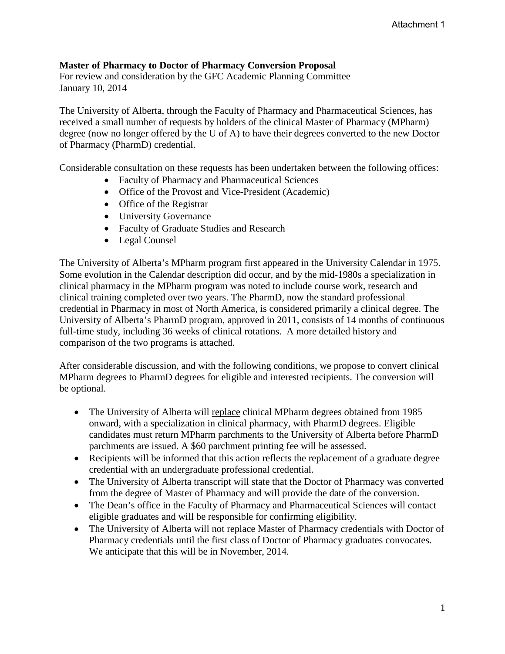# **Master of Pharmacy to Doctor of Pharmacy Conversion Proposal**

For review and consideration by the GFC Academic Planning Committee January 10, 2014

The University of Alberta, through the Faculty of Pharmacy and Pharmaceutical Sciences, has received a small number of requests by holders of the clinical Master of Pharmacy (MPharm) degree (now no longer offered by the U of A) to have their degrees converted to the new Doctor of Pharmacy (PharmD) credential.

Considerable consultation on these requests has been undertaken between the following offices:

- Faculty of Pharmacy and Pharmaceutical Sciences
- Office of the Provost and Vice-President (Academic)
- Office of the Registrar
- University Governance
- Faculty of Graduate Studies and Research
- Legal Counsel

The University of Alberta's MPharm program first appeared in the University Calendar in 1975. Some evolution in the Calendar description did occur, and by the mid-1980s a specialization in clinical pharmacy in the MPharm program was noted to include course work, research and clinical training completed over two years. The PharmD, now the standard professional credential in Pharmacy in most of North America, is considered primarily a clinical degree. The University of Alberta's PharmD program, approved in 2011, consists of 14 months of continuous full-time study, including 36 weeks of clinical rotations. A more detailed history and comparison of the two programs is attached.

After considerable discussion, and with the following conditions, we propose to convert clinical MPharm degrees to PharmD degrees for eligible and interested recipients. The conversion will be optional.

- The University of Alberta will replace clinical MPharm degrees obtained from 1985 onward, with a specialization in clinical pharmacy, with PharmD degrees. Eligible candidates must return MPharm parchments to the University of Alberta before PharmD parchments are issued. A \$60 parchment printing fee will be assessed.
- Recipients will be informed that this action reflects the replacement of a graduate degree credential with an undergraduate professional credential.
- The University of Alberta transcript will state that the Doctor of Pharmacy was converted from the degree of Master of Pharmacy and will provide the date of the conversion.
- The Dean's office in the Faculty of Pharmacy and Pharmaceutical Sciences will contact eligible graduates and will be responsible for confirming eligibility.
- The University of Alberta will not replace Master of Pharmacy credentials with Doctor of Pharmacy credentials until the first class of Doctor of Pharmacy graduates convocates. We anticipate that this will be in November, 2014.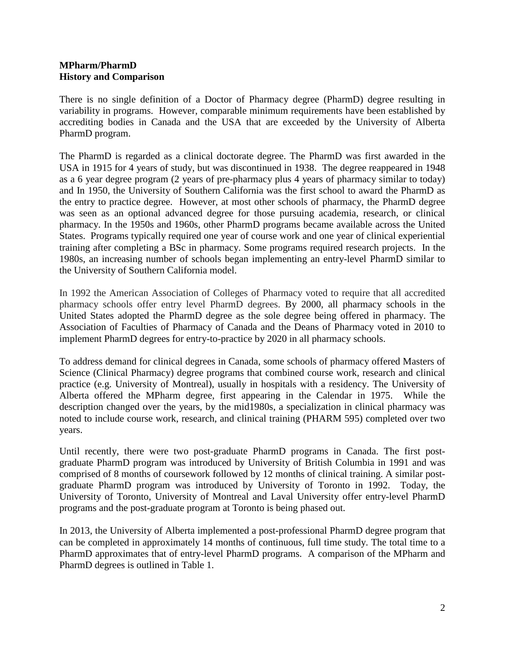## **MPharm/PharmD History and Comparison**

There is no single definition of a Doctor of Pharmacy degree (PharmD) degree resulting in variability in programs. However, comparable minimum requirements have been established by accrediting bodies in Canada and the USA that are exceeded by the University of Alberta PharmD program.

The PharmD is regarded as a clinical doctorate degree. The PharmD was first awarded in the USA in 1915 for 4 years of study, but was discontinued in 1938. The degree reappeared in 1948 as a 6 year degree program (2 years of pre-pharmacy plus 4 years of pharmacy similar to today) and In 1950, the University of Southern California was the first school to award the PharmD as the entry to practice degree. However, at most other schools of pharmacy, the PharmD degree was seen as an optional advanced degree for those pursuing academia, research, or clinical pharmacy. In the 1950s and 1960s, other PharmD programs became available across the United States. Programs typically required one year of course work and one year of clinical experiential training after completing a BSc in pharmacy. Some programs required research projects. In the 1980s, an increasing number of schools began implementing an entry-level PharmD similar to the University of Southern California model.

In 1992 the American Association of Colleges of Pharmacy voted to require that all accredited pharmacy schools offer entry level PharmD degrees. By 2000, all pharmacy schools in the United States adopted the PharmD degree as the sole degree being offered in pharmacy. The Association of Faculties of Pharmacy of Canada and the Deans of Pharmacy voted in 2010 to implement PharmD degrees for entry-to-practice by 2020 in all pharmacy schools.

To address demand for clinical degrees in Canada, some schools of pharmacy offered Masters of Science (Clinical Pharmacy) degree programs that combined course work, research and clinical practice (e.g. University of Montreal), usually in hospitals with a residency. The University of Alberta offered the MPharm degree, first appearing in the Calendar in 1975. While the description changed over the years, by the mid1980s, a specialization in clinical pharmacy was noted to include course work, research, and clinical training (PHARM 595) completed over two years.

Until recently, there were two post-graduate PharmD programs in Canada. The first postgraduate PharmD program was introduced by University of British Columbia in 1991 and was comprised of 8 months of coursework followed by 12 months of clinical training. A similar postgraduate PharmD program was introduced by University of Toronto in 1992. Today, the University of Toronto, University of Montreal and Laval University offer entry-level PharmD programs and the post-graduate program at Toronto is being phased out.

In 2013, the University of Alberta implemented a post-professional PharmD degree program that can be completed in approximately 14 months of continuous, full time study. The total time to a PharmD approximates that of entry-level PharmD programs. A comparison of the MPharm and PharmD degrees is outlined in Table 1.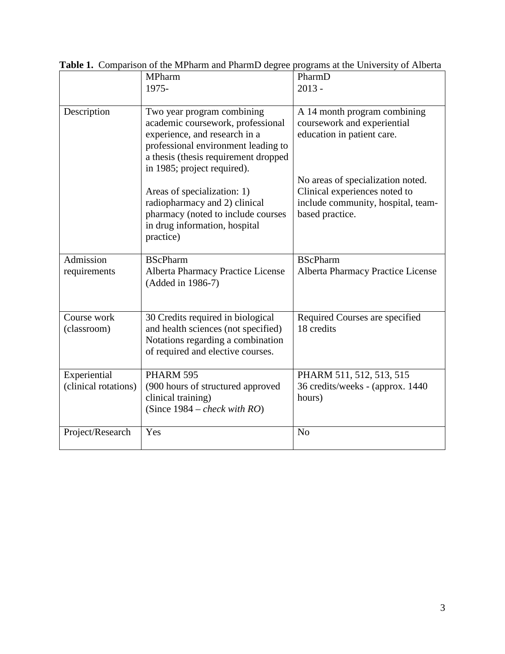|                                      | <b>MPharm</b><br>1975-                                                                                                                                                                                         | PharmD<br>$2013 -$                                                                                                          |
|--------------------------------------|----------------------------------------------------------------------------------------------------------------------------------------------------------------------------------------------------------------|-----------------------------------------------------------------------------------------------------------------------------|
| Description                          | Two year program combining<br>academic coursework, professional<br>experience, and research in a<br>professional environment leading to<br>a thesis (thesis requirement dropped<br>in 1985; project required). | A 14 month program combining<br>coursework and experiential<br>education in patient care.                                   |
|                                      | Areas of specialization: 1)<br>radiopharmacy and 2) clinical<br>pharmacy (noted to include courses<br>in drug information, hospital<br>practice)                                                               | No areas of specialization noted.<br>Clinical experiences noted to<br>include community, hospital, team-<br>based practice. |
| Admission<br>requirements            | <b>BScPharm</b><br><b>Alberta Pharmacy Practice License</b><br>(Added in 1986-7)                                                                                                                               | <b>BScPharm</b><br><b>Alberta Pharmacy Practice License</b>                                                                 |
| Course work<br>(classroom)           | 30 Credits required in biological<br>and health sciences (not specified)<br>Notations regarding a combination<br>of required and elective courses.                                                             | Required Courses are specified<br>18 credits                                                                                |
| Experiential<br>(clinical rotations) | PHARM 595<br>(900 hours of structured approved<br>clinical training)<br>(Since $1984$ – <i>check with RO</i> )                                                                                                 | PHARM 511, 512, 513, 515<br>36 credits/weeks - (approx. 1440)<br>hours)                                                     |
| Project/Research                     | Yes                                                                                                                                                                                                            | N <sub>o</sub>                                                                                                              |

**Table 1.** Comparison of the MPharm and PharmD degree programs at the University of Alberta